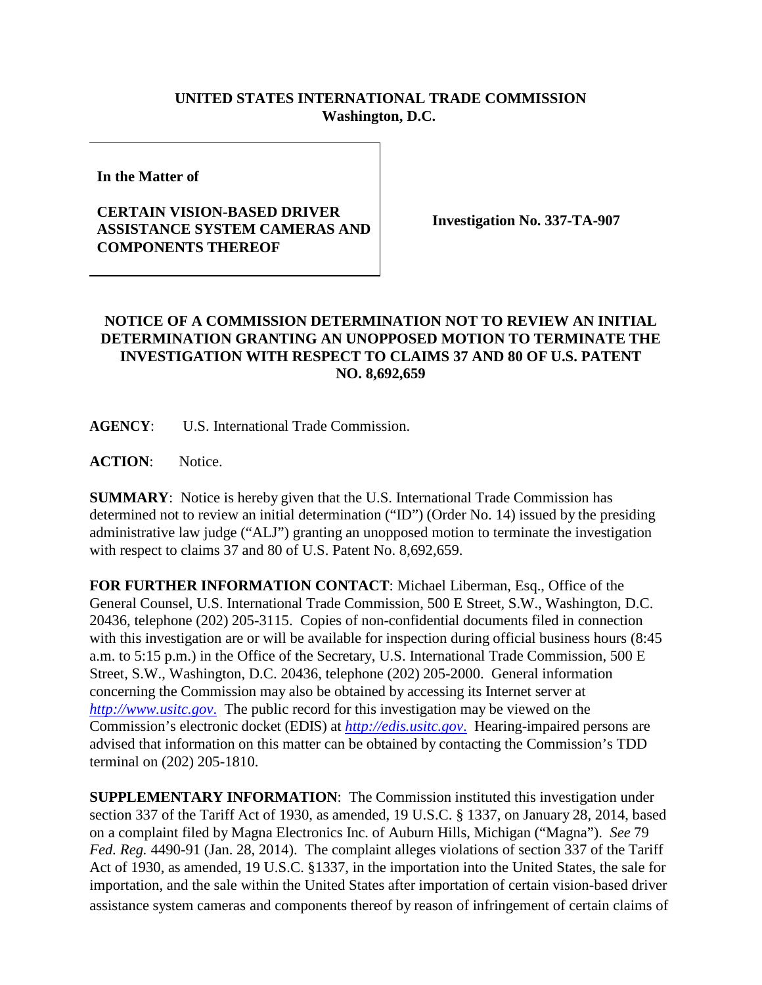## **UNITED STATES INTERNATIONAL TRADE COMMISSION Washington, D.C.**

**In the Matter of**

## **CERTAIN VISION-BASED DRIVER ASSISTANCE SYSTEM CAMERAS AND COMPONENTS THEREOF**

**Investigation No. 337-TA-907**

## **NOTICE OF A COMMISSION DETERMINATION NOT TO REVIEW AN INITIAL DETERMINATION GRANTING AN UNOPPOSED MOTION TO TERMINATE THE INVESTIGATION WITH RESPECT TO CLAIMS 37 AND 80 OF U.S. PATENT NO. 8,692,659**

**AGENCY**: U.S. International Trade Commission.

**ACTION**: Notice.

**SUMMARY**: Notice is hereby given that the U.S. International Trade Commission has determined not to review an initial determination ("ID") (Order No. 14) issued by the presiding administrative law judge ("ALJ") granting an unopposed motion to terminate the investigation with respect to claims 37 and 80 of U.S. Patent No. 8,692,659.

**FOR FURTHER INFORMATION CONTACT**: Michael Liberman, Esq., Office of the General Counsel, U.S. International Trade Commission, 500 E Street, S.W., Washington, D.C. 20436, telephone (202) 205-3115. Copies of non-confidential documents filed in connection with this investigation are or will be available for inspection during official business hours (8:45) a.m. to 5:15 p.m.) in the Office of the Secretary, U.S. International Trade Commission, 500 E Street, S.W., Washington, D.C. 20436, telephone (202) 205-2000. General information concerning the Commission may also be obtained by accessing its Internet server at *[http://www.usitc.gov](http://www.usitc.gov./)*. The public record for this investigation may be viewed on the Commission's electronic docket (EDIS) at *[http://edis.usitc.gov](http://edis.usitc.gov./)*. Hearing-impaired persons are advised that information on this matter can be obtained by contacting the Commission's TDD terminal on (202) 205-1810.

**SUPPLEMENTARY INFORMATION**: The Commission instituted this investigation under section 337 of the Tariff Act of 1930, as amended, 19 U.S.C. § 1337, on January 28, 2014, based on a complaint filed by Magna Electronics Inc. of Auburn Hills, Michigan ("Magna"). *See* 79 *Fed. Reg.* 4490-91 (Jan. 28, 2014). The complaint alleges violations of section 337 of the Tariff Act of 1930, as amended, 19 U.S.C. §1337, in the importation into the United States, the sale for importation, and the sale within the United States after importation of certain vision-based driver assistance system cameras and components thereof by reason of infringement of certain claims of